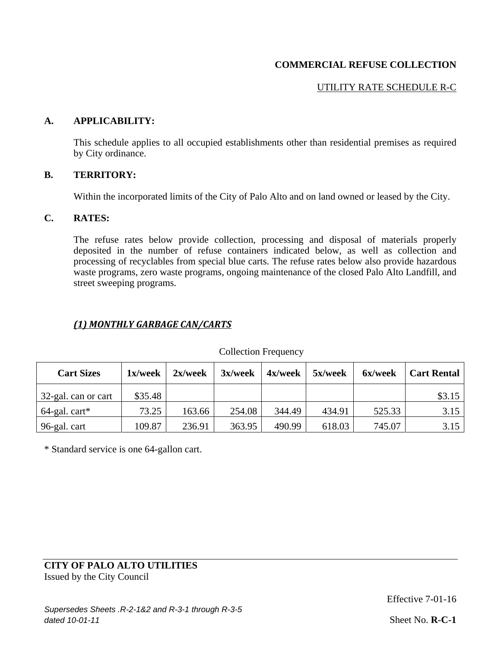# UTILITY RATE SCHEDULE R-C

### **A. APPLICABILITY:**

This schedule applies to all occupied establishments other than residential premises as required by City ordinance.

#### **B. TERRITORY:**

Within the incorporated limits of the City of Palo Alto and on land owned or leased by the City.

### **C. RATES:**

The refuse rates below provide collection, processing and disposal of materials properly deposited in the number of refuse containers indicated below, as well as collection and processing of recyclables from special blue carts. The refuse rates below also provide hazardous waste programs, zero waste programs, ongoing maintenance of the closed Palo Alto Landfill, and street sweeping programs.

# *(1) MONTHLY GARBAGE CAN/CARTS*

| <b>Cart Sizes</b>   | 1x/week | $2x$ /week | 3x/week | $4x$ /week | 5x/week | 6x/week | <b>Cart Rental</b> |
|---------------------|---------|------------|---------|------------|---------|---------|--------------------|
| 32-gal. can or cart | \$35.48 |            |         |            |         |         | \$3.15             |
| $64$ -gal. cart*    | 73.25   | 163.66     | 254.08  | 344.49     | 434.91  | 525.33  | 3.15               |
| 96-gal. cart        | 109.87  | 236.91     | 363.95  | 490.99     | 618.03  | 745.07  | 3.15               |

#### Collection Frequency

\* Standard service is one 64-gallon cart.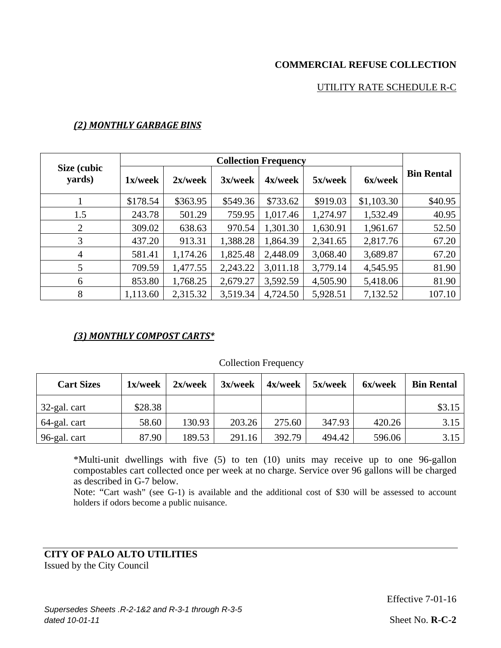## UTILITY RATE SCHEDULE R-C

| <b>Collection Frequency</b> |          |            |            |          |          |            |                   |
|-----------------------------|----------|------------|------------|----------|----------|------------|-------------------|
| Size (cubic<br>yards)       | 1x/week  | $2x$ /week | $3x$ /week | 4x/week  | 5x/week  | 6x/week    | <b>Bin Rental</b> |
|                             | \$178.54 | \$363.95   | \$549.36   | \$733.62 | \$919.03 | \$1,103.30 | \$40.95           |
| 1.5                         | 243.78   | 501.29     | 759.95     | 1,017.46 | 1,274.97 | 1,532.49   | 40.95             |
| 2                           | 309.02   | 638.63     | 970.54     | 1,301.30 | 1,630.91 | 1,961.67   | 52.50             |
| 3                           | 437.20   | 913.31     | 1,388.28   | 1,864.39 | 2,341.65 | 2,817.76   | 67.20             |
| 4                           | 581.41   | 1,174.26   | 1,825.48   | 2,448.09 | 3,068.40 | 3,689.87   | 67.20             |
| 5                           | 709.59   | 1,477.55   | 2,243.22   | 3,011.18 | 3,779.14 | 4,545.95   | 81.90             |
| 6                           | 853.80   | 1,768.25   | 2,679.27   | 3,592.59 | 4,505.90 | 5,418.06   | 81.90             |
| 8                           | 1,113.60 | 2,315.32   | 3,519.34   | 4,724.50 | 5,928.51 | 7,132.52   | 107.10            |

### *(2) MONTHLY GARBAGE BINS*

### *(3) MONTHLY COMPOST CARTS\**

| <b>Cart Sizes</b> | 1x/week | $2x$ /week | 3x/week | 4x/week | 5x/week | 6x/week | <b>Bin Rental</b> |
|-------------------|---------|------------|---------|---------|---------|---------|-------------------|
| 32-gal. cart      | \$28.38 |            |         |         |         |         | \$3.15            |
| 64-gal. cart      | 58.60   | 130.93     | 203.26  | 275.60  | 347.93  | 420.26  | 3.15              |
| 96-gal. cart      | 87.90   | 189.53     | 291.16  | 392.79  | 494.42  | 596.06  | 3.15              |

#### Collection Frequency

\*Multi-unit dwellings with five (5) to ten (10) units may receive up to one 96-gallon compostables cart collected once per week at no charge. Service over 96 gallons will be charged as described in G-7 below.

Note: "Cart wash" (see G-1) is available and the additional cost of \$30 will be assessed to account holders if odors become a public nuisance.

**CITY OF PALO ALTO UTILITIES** Issued by the City Council

Effective 7-01-16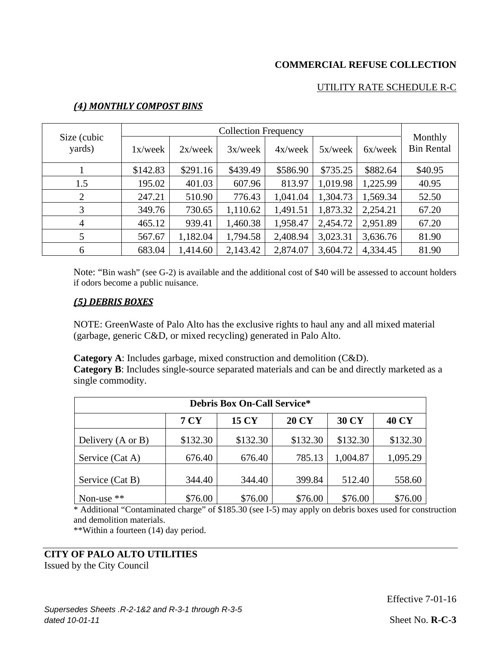### UTILITY RATE SCHEDULE R-C

|                       | <b>Collection Frequency</b> |            |            |            |            |          |                              |
|-----------------------|-----------------------------|------------|------------|------------|------------|----------|------------------------------|
| Size (cubic<br>yards) | 1x/week                     | $2x$ /week | $3x$ /week | $4x$ /week | $5x$ /week | 6x/week  | Monthly<br><b>Bin Rental</b> |
|                       | \$142.83                    | \$291.16   | \$439.49   | \$586.90   | \$735.25   | \$882.64 | \$40.95                      |
| 1.5                   | 195.02                      | 401.03     | 607.96     | 813.97     | 1,019.98   | 1,225.99 | 40.95                        |
| $\overline{2}$        | 247.21                      | 510.90     | 776.43     | 1,041.04   | 1,304.73   | 1,569.34 | 52.50                        |
| 3                     | 349.76                      | 730.65     | 1,110.62   | 1,491.51   | 1,873.32   | 2,254.21 | 67.20                        |
| $\overline{4}$        | 465.12                      | 939.41     | 1,460.38   | 1,958.47   | 2,454.72   | 2,951.89 | 67.20                        |
| 5                     | 567.67                      | 1,182.04   | 1,794.58   | 2,408.94   | 3,023.31   | 3,636.76 | 81.90                        |
| 6                     | 683.04                      | 1,414.60   | 2,143.42   | 2,874.07   | 3,604.72   | 4,334.45 | 81.90                        |

### *(4) MONTHLY COMPOST BINS*

Note: "Bin wash" (see G-2) is available and the additional cost of \$40 will be assessed to account holders if odors become a public nuisance.

#### *(5) DEBRIS BOXES*

NOTE: GreenWaste of Palo Alto has the exclusive rights to haul any and all mixed material (garbage, generic C&D, or mixed recycling) generated in Palo Alto.

**Category A**: Includes garbage, mixed construction and demolition (C&D). **Category B**: Includes single-source separated materials and can be and directly marketed as a

single commodity.

| <b>Debris Box On-Call Service*</b> |             |              |              |              |              |  |
|------------------------------------|-------------|--------------|--------------|--------------|--------------|--|
|                                    | <b>7 CY</b> | <b>15 CY</b> | <b>20 CY</b> | <b>30 CY</b> | <b>40 CY</b> |  |
| Delivery (A or B)                  | \$132.30    | \$132.30     | \$132.30     | \$132.30     | \$132.30     |  |
| Service (Cat A)                    | 676.40      | 676.40       | 785.13       | 1,004.87     | 1,095.29     |  |
| Service (Cat B)                    | 344.40      | 344.40       | 399.84       | 512.40       | 558.60       |  |
| Non-use $**$                       | \$76.00     | \$76.00      | \$76.00      | \$76.00      | \$76.00      |  |

\* Additional "Contaminated charge" of \$185.30 (see I-5) may apply on debris boxes used for construction and demolition materials.

\*\*Within a fourteen (14) day period.

### **CITY OF PALO ALTO UTILITIES**

Issued by the City Council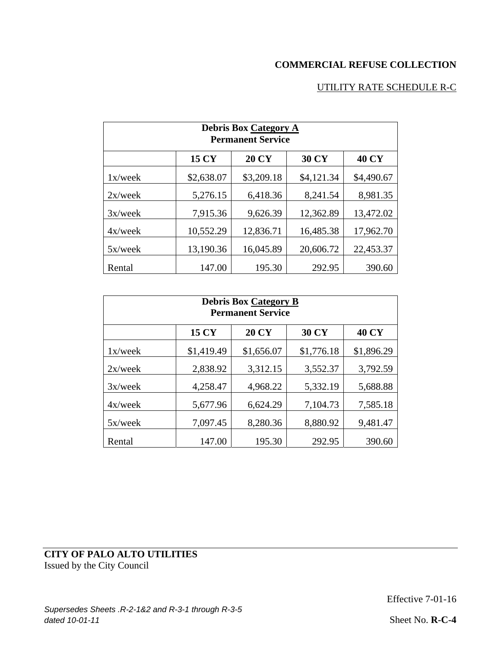# UTILITY RATE SCHEDULE R-C

| <b>Debris Box Category A</b><br><b>Permanent Service</b> |              |              |              |              |  |  |
|----------------------------------------------------------|--------------|--------------|--------------|--------------|--|--|
|                                                          | <b>15 CY</b> | <b>20 CY</b> | <b>30 CY</b> | <b>40 CY</b> |  |  |
| $1x$ /week                                               | \$2,638.07   | \$3,209.18   | \$4,121.34   | \$4,490.67   |  |  |
| $2x$ /week                                               | 5,276.15     | 6,418.36     | 8,241.54     | 8,981.35     |  |  |
| $3x$ /week                                               | 7,915.36     | 9,626.39     | 12,362.89    | 13,472.02    |  |  |
| $4x$ /week                                               | 10,552.29    | 12,836.71    | 16,485.38    | 17,962.70    |  |  |
| $5x$ /week                                               | 13,190.36    | 16,045.89    | 20,606.72    | 22,453.37    |  |  |
| Rental                                                   | 147.00       | 195.30       | 292.95       | 390.60       |  |  |

| <b>Debris Box Category B</b><br><b>Permanent Service</b> |              |              |              |              |  |  |
|----------------------------------------------------------|--------------|--------------|--------------|--------------|--|--|
|                                                          | <b>15 CY</b> | <b>20 CY</b> | <b>30 CY</b> | <b>40 CY</b> |  |  |
| $1x$ /week                                               | \$1,419.49   | \$1,656.07   | \$1,776.18   | \$1,896.29   |  |  |
| $2x$ /week                                               | 2,838.92     | 3,312.15     | 3,552.37     | 3,792.59     |  |  |
| $3x$ /week                                               | 4,258.47     | 4,968.22     | 5,332.19     | 5,688.88     |  |  |
| $4x$ /week                                               | 5,677.96     | 6,624.29     | 7,104.73     | 7,585.18     |  |  |
| $5x$ /week                                               | 7,097.45     | 8,280.36     | 8,880.92     | 9,481.47     |  |  |
| Rental                                                   | 147.00       | 195.30       | 292.95       | 390.60       |  |  |

# **CITY OF PALO ALTO UTILITIES** Issued by the City Council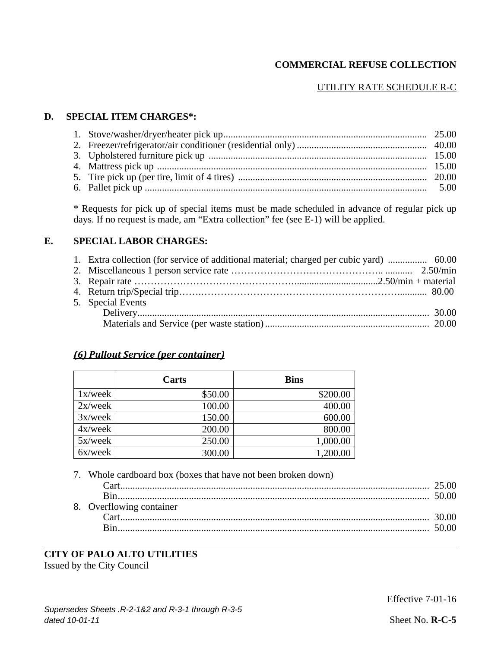# UTILITY RATE SCHEDULE R-C

### **D. SPECIAL ITEM CHARGES\*:**

\* Requests for pick up of special items must be made scheduled in advance of regular pick up days. If no request is made, am "Extra collection" fee (see E-1) will be applied.

## **E. SPECIAL LABOR CHARGES:**

| 1. Extra collection (for service of additional material; charged per cubic yard)  60.00 |
|-----------------------------------------------------------------------------------------|
|                                                                                         |
|                                                                                         |
|                                                                                         |
| 5. Special Events                                                                       |
|                                                                                         |
|                                                                                         |

### *(6) Pullout Service (per container)*

|            | Carts   | <b>Bins</b> |
|------------|---------|-------------|
| $1x$ /week | \$50.00 | \$200.00    |
| $2x$ /week | 100.00  | 400.00      |
| $3x$ /week | 150.00  | 600.00      |
| $4x$ /week | 200.00  | 800.00      |
| $5x$ /week | 250.00  | 1,000.00    |
| 6x/week    | 300.00  | 1,200.00    |

7. Whole cardboard box (boxes that have not been broken down)

| 8. Overflowing container |  |
|--------------------------|--|
|                          |  |
|                          |  |
|                          |  |

# **CITY OF PALO ALTO UTILITIES**

Issued by the City Council

Effective 7-01-16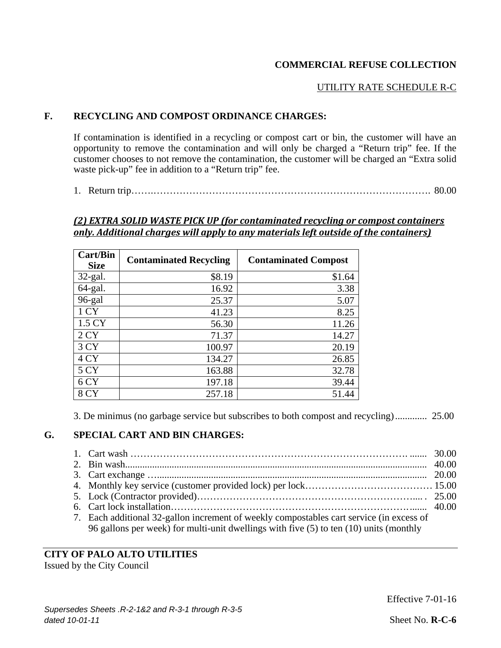### UTILITY RATE SCHEDULE R-C

## **F. RECYCLING AND COMPOST ORDINANCE CHARGES:**

If contamination is identified in a recycling or compost cart or bin, the customer will have an opportunity to remove the contamination and will only be charged a "Return trip" fee. If the customer chooses to not remove the contamination, the customer will be charged an "Extra solid waste pick-up" fee in addition to a "Return trip" fee.

1. Return trip…….…………………………………………………………………………. 80.00

#### *(2) EXTRA SOLID WASTE PICK UP (for contaminated recycling or compost containers only. Additional charges will apply to any materials left outside of the containers)*

| <b>Cart/Bin</b><br><b>Size</b> | <b>Contaminated Recycling</b> | <b>Contaminated Compost</b> |
|--------------------------------|-------------------------------|-----------------------------|
| $32$ -gal.                     | \$8.19                        | \$1.64                      |
| 64-gal.                        | 16.92                         | 3.38                        |
| 96-gal                         | 25.37                         | 5.07                        |
| 1 CY                           | 41.23                         | 8.25                        |
| 1.5 CY                         | 56.30                         | 11.26                       |
| 2CY                            | 71.37                         | 14.27                       |
| 3 CY                           | 100.97                        | 20.19                       |
| 4 CY                           | 134.27                        | 26.85                       |
| 5 CY                           | 163.88                        | 32.78                       |
| 6 CY                           | 197.18                        | 39.44                       |
| 8 CY                           | 257.18                        | 51.44                       |

3. De minimus (no garbage service but subscribes to both compost and recycling) ............. 25.00

### **G. SPECIAL CART AND BIN CHARGES:**

| 7. Each additional 32-gallon increment of weekly compostables cart service (in excess of |  |
|------------------------------------------------------------------------------------------|--|
| 96 gallons per week) for multi-unit dwellings with five (5) to ten (10) units (monthly   |  |
|                                                                                          |  |

## **CITY OF PALO ALTO UTILITIES**

Issued by the City Council